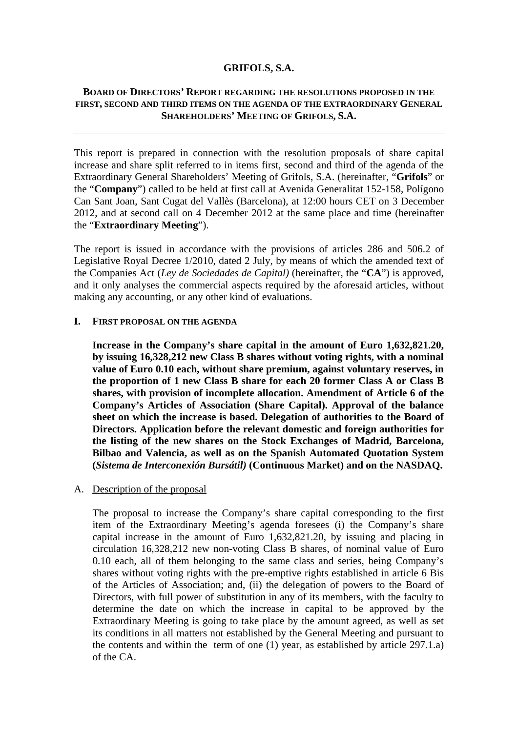#### **GRIFOLS, S.A.**

# **BOARD OF DIRECTORS' REPORT REGARDING THE RESOLUTIONS PROPOSED IN THE FIRST, SECOND AND THIRD ITEMS ON THE AGENDA OF THE EXTRAORDINARY GENERAL SHAREHOLDERS' MEETING OF GRIFOLS, S.A.**

This report is prepared in connection with the resolution proposals of share capital increase and share split referred to in items first, second and third of the agenda of the Extraordinary General Shareholders' Meeting of Grifols, S.A. (hereinafter, "**Grifols**" or the "**Company**") called to be held at first call at Avenida Generalitat 152-158, Polígono Can Sant Joan, Sant Cugat del Vallès (Barcelona), at 12:00 hours CET on 3 December 2012, and at second call on 4 December 2012 at the same place and time (hereinafter the "**Extraordinary Meeting**").

The report is issued in accordance with the provisions of articles 286 and 506.2 of Legislative Royal Decree 1/2010, dated 2 July, by means of which the amended text of the Companies Act (*Ley de Sociedades de Capital)* (hereinafter, the "**CA**") is approved, and it only analyses the commercial aspects required by the aforesaid articles, without making any accounting, or any other kind of evaluations.

#### **I. FIRST PROPOSAL ON THE AGENDA**

**Increase in the Company's share capital in the amount of Euro 1,632,821.20, by issuing 16,328,212 new Class B shares without voting rights, with a nominal value of Euro 0.10 each, without share premium, against voluntary reserves, in the proportion of 1 new Class B share for each 20 former Class A or Class B shares, with provision of incomplete allocation. Amendment of Article 6 of the Company's Articles of Association (Share Capital). Approval of the balance sheet on which the increase is based. Delegation of authorities to the Board of Directors. Application before the relevant domestic and foreign authorities for the listing of the new shares on the Stock Exchanges of Madrid, Barcelona, Bilbao and Valencia, as well as on the Spanish Automated Quotation System (***Sistema de Interconexión Bursátil)* **(Continuous Market) and on the NASDAQ.** 

### A. Description of the proposal

The proposal to increase the Company's share capital corresponding to the first item of the Extraordinary Meeting's agenda foresees (i) the Company's share capital increase in the amount of Euro 1,632,821.20, by issuing and placing in circulation 16,328,212 new non-voting Class B shares, of nominal value of Euro 0.10 each, all of them belonging to the same class and series, being Company's shares without voting rights with the pre-emptive rights established in article 6 Bis of the Articles of Association; and, (ii) the delegation of powers to the Board of Directors, with full power of substitution in any of its members, with the faculty to determine the date on which the increase in capital to be approved by the Extraordinary Meeting is going to take place by the amount agreed, as well as set its conditions in all matters not established by the General Meeting and pursuant to the contents and within the term of one (1) year, as established by article 297.1.a) of the CA.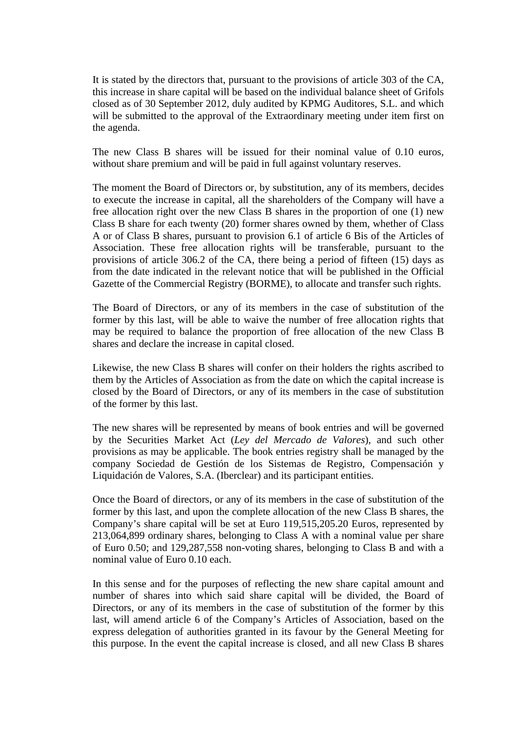It is stated by the directors that, pursuant to the provisions of article 303 of the CA*,* this increase in share capital will be based on the individual balance sheet of Grifols closed as of 30 September 2012, duly audited by KPMG Auditores, S.L. and which will be submitted to the approval of the Extraordinary meeting under item first on the agenda.

The new Class B shares will be issued for their nominal value of 0.10 euros, without share premium and will be paid in full against voluntary reserves.

The moment the Board of Directors or, by substitution, any of its members, decides to execute the increase in capital, all the shareholders of the Company will have a free allocation right over the new Class B shares in the proportion of one (1) new Class B share for each twenty (20) former shares owned by them, whether of Class A or of Class B shares, pursuant to provision 6.1 of article 6 Bis of the Articles of Association. These free allocation rights will be transferable, pursuant to the provisions of article 306.2 of the CA, there being a period of fifteen (15) days as from the date indicated in the relevant notice that will be published in the Official Gazette of the Commercial Registry (BORME), to allocate and transfer such rights.

The Board of Directors, or any of its members in the case of substitution of the former by this last, will be able to waive the number of free allocation rights that may be required to balance the proportion of free allocation of the new Class B shares and declare the increase in capital closed.

Likewise, the new Class B shares will confer on their holders the rights ascribed to them by the Articles of Association as from the date on which the capital increase is closed by the Board of Directors, or any of its members in the case of substitution of the former by this last.

The new shares will be represented by means of book entries and will be governed by the Securities Market Act (*Ley del Mercado de Valores*), and such other provisions as may be applicable. The book entries registry shall be managed by the company Sociedad de Gestión de los Sistemas de Registro, Compensación y Liquidación de Valores, S.A. (Iberclear) and its participant entities.

Once the Board of directors, or any of its members in the case of substitution of the former by this last, and upon the complete allocation of the new Class B shares, the Company's share capital will be set at Euro 119,515,205.20 Euros, represented by 213,064,899 ordinary shares, belonging to Class A with a nominal value per share of Euro 0.50; and 129,287,558 non-voting shares, belonging to Class B and with a nominal value of Euro 0.10 each.

In this sense and for the purposes of reflecting the new share capital amount and number of shares into which said share capital will be divided, the Board of Directors, or any of its members in the case of substitution of the former by this last, will amend article 6 of the Company's Articles of Association, based on the express delegation of authorities granted in its favour by the General Meeting for this purpose. In the event the capital increase is closed, and all new Class B shares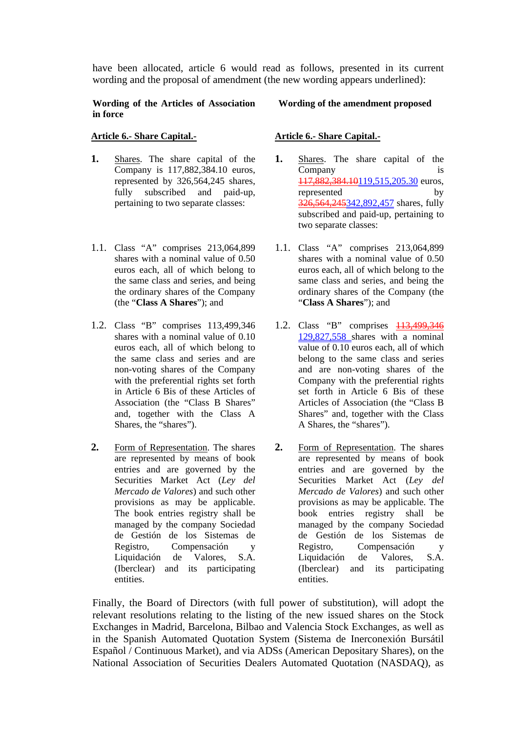have been allocated, article 6 would read as follows, presented in its current wording and the proposal of amendment (the new wording appears underlined):

#### **Wording of the Articles of Association in force**

#### **Wording of the amendment proposed**

### **Article 6.- Share Capital.-**

- **1.** Shares. The share capital of the Company is 117,882,384.10 euros, represented by 326,564,245 shares, fully subscribed and paid-up, pertaining to two separate classes:
- 1.1. Class "A" comprises 213,064,899 shares with a nominal value of 0.50 euros each, all of which belong to the same class and series, and being the ordinary shares of the Company (the "**Class A Shares**"); and
- 1.2. Class "B" comprises 113,499,346 shares with a nominal value of 0.10 euros each, all of which belong to the same class and series and are non-voting shares of the Company with the preferential rights set forth in Article 6 Bis of these Articles of Association (the "Class B Shares" and, together with the Class A Shares, the "shares").
- **2.** Form of Representation. The shares are represented by means of book entries and are governed by the Securities Market Act (*Ley del Mercado de Valores*) and such other provisions as may be applicable. The book entries registry shall be managed by the company Sociedad de Gestión de los Sistemas de Registro, Compensación y Liquidación de Valores, S.A. (Iberclear) and its participating entities.

# **Article 6.- Share Capital.-**

- **1.** Shares. The share capital of the Company 117,882,384.10119,515,205.30 euros, represented by 326,564,245342,892,457 shares, fully subscribed and paid-up, pertaining to two separate classes:
- 1.1. Class "A" comprises 213,064,899 shares with a nominal value of 0.50 euros each, all of which belong to the same class and series, and being the ordinary shares of the Company (the "**Class A Shares**"); and
- 1.2. Class "B" comprises 113,499,346 129,827,558 shares with a nominal value of 0.10 euros each, all of which belong to the same class and series and are non-voting shares of the Company with the preferential rights set forth in Article 6 Bis of these Articles of Association (the "Class B Shares" and, together with the Class A Shares, the "shares").
- **2.** Form of Representation. The shares are represented by means of book entries and are governed by the Securities Market Act (*Ley del Mercado de Valores*) and such other provisions as may be applicable. The book entries registry shall be managed by the company Sociedad de Gestión de los Sistemas de Registro, Compensación y Liquidación de Valores, S.A. (Iberclear) and its participating entities.

Finally, the Board of Directors (with full power of substitution), will adopt the relevant resolutions relating to the listing of the new issued shares on the Stock Exchanges in Madrid, Barcelona, Bilbao and Valencia Stock Exchanges, as well as in the Spanish Automated Quotation System (Sistema de Inerconexión Bursátil Español / Continuous Market), and via ADSs (American Depositary Shares), on the National Association of Securities Dealers Automated Quotation (NASDAQ), as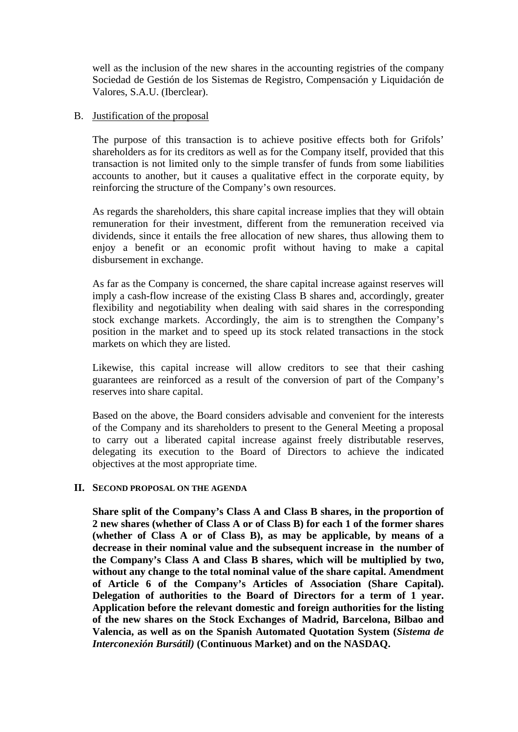well as the inclusion of the new shares in the accounting registries of the company Sociedad de Gestión de los Sistemas de Registro, Compensación y Liquidación de Valores, S.A.U. (Iberclear).

### B. Justification of the proposal

The purpose of this transaction is to achieve positive effects both for Grifols' shareholders as for its creditors as well as for the Company itself, provided that this transaction is not limited only to the simple transfer of funds from some liabilities accounts to another, but it causes a qualitative effect in the corporate equity, by reinforcing the structure of the Company's own resources.

As regards the shareholders, this share capital increase implies that they will obtain remuneration for their investment, different from the remuneration received via dividends, since it entails the free allocation of new shares, thus allowing them to enjoy a benefit or an economic profit without having to make a capital disbursement in exchange.

As far as the Company is concerned, the share capital increase against reserves will imply a cash-flow increase of the existing Class B shares and, accordingly, greater flexibility and negotiability when dealing with said shares in the corresponding stock exchange markets. Accordingly, the aim is to strengthen the Company's position in the market and to speed up its stock related transactions in the stock markets on which they are listed.

Likewise, this capital increase will allow creditors to see that their cashing guarantees are reinforced as a result of the conversion of part of the Company's reserves into share capital.

Based on the above, the Board considers advisable and convenient for the interests of the Company and its shareholders to present to the General Meeting a proposal to carry out a liberated capital increase against freely distributable reserves, delegating its execution to the Board of Directors to achieve the indicated objectives at the most appropriate time.

# **II. SECOND PROPOSAL ON THE AGENDA**

**Share split of the Company's Class A and Class B shares, in the proportion of 2 new shares (whether of Class A or of Class B) for each 1 of the former shares (whether of Class A or of Class B), as may be applicable, by means of a decrease in their nominal value and the subsequent increase in the number of the Company's Class A and Class B shares, which will be multiplied by two, without any change to the total nominal value of the share capital. Amendment of Article 6 of the Company's Articles of Association (Share Capital). Delegation of authorities to the Board of Directors for a term of 1 year. Application before the relevant domestic and foreign authorities for the listing of the new shares on the Stock Exchanges of Madrid, Barcelona, Bilbao and Valencia, as well as on the Spanish Automated Quotation System (***Sistema de Interconexión Bursátil)* **(Continuous Market) and on the NASDAQ.**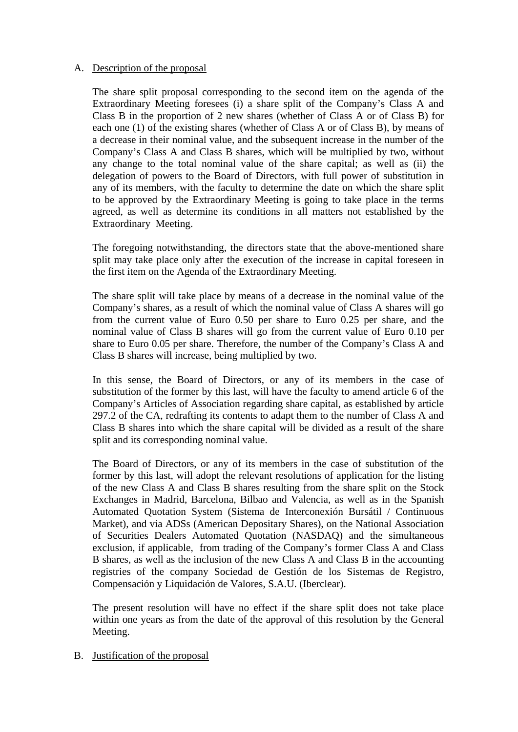# A. Description of the proposal

The share split proposal corresponding to the second item on the agenda of the Extraordinary Meeting foresees (i) a share split of the Company's Class A and Class B in the proportion of 2 new shares (whether of Class A or of Class B) for each one (1) of the existing shares (whether of Class A or of Class B), by means of a decrease in their nominal value, and the subsequent increase in the number of the Company's Class A and Class B shares, which will be multiplied by two, without any change to the total nominal value of the share capital; as well as (ii) the delegation of powers to the Board of Directors, with full power of substitution in any of its members, with the faculty to determine the date on which the share split to be approved by the Extraordinary Meeting is going to take place in the terms agreed, as well as determine its conditions in all matters not established by the Extraordinary Meeting.

The foregoing notwithstanding, the directors state that the above-mentioned share split may take place only after the execution of the increase in capital foreseen in the first item on the Agenda of the Extraordinary Meeting.

The share split will take place by means of a decrease in the nominal value of the Company's shares, as a result of which the nominal value of Class A shares will go from the current value of Euro 0.50 per share to Euro 0.25 per share, and the nominal value of Class B shares will go from the current value of Euro 0.10 per share to Euro 0.05 per share. Therefore, the number of the Company's Class A and Class B shares will increase, being multiplied by two.

In this sense, the Board of Directors, or any of its members in the case of substitution of the former by this last, will have the faculty to amend article 6 of the Company's Articles of Association regarding share capital, as established by article 297.2 of the CA, redrafting its contents to adapt them to the number of Class A and Class B shares into which the share capital will be divided as a result of the share split and its corresponding nominal value.

The Board of Directors, or any of its members in the case of substitution of the former by this last, will adopt the relevant resolutions of application for the listing of the new Class A and Class B shares resulting from the share split on the Stock Exchanges in Madrid, Barcelona, Bilbao and Valencia, as well as in the Spanish Automated Quotation System (Sistema de Interconexión Bursátil / Continuous Market), and via ADSs (American Depositary Shares), on the National Association of Securities Dealers Automated Quotation (NASDAQ) and the simultaneous exclusion, if applicable, from trading of the Company's former Class A and Class B shares, as well as the inclusion of the new Class A and Class B in the accounting registries of the company Sociedad de Gestión de los Sistemas de Registro, Compensación y Liquidación de Valores, S.A.U. (Iberclear).

The present resolution will have no effect if the share split does not take place within one years as from the date of the approval of this resolution by the General Meeting.

### B. Justification of the proposal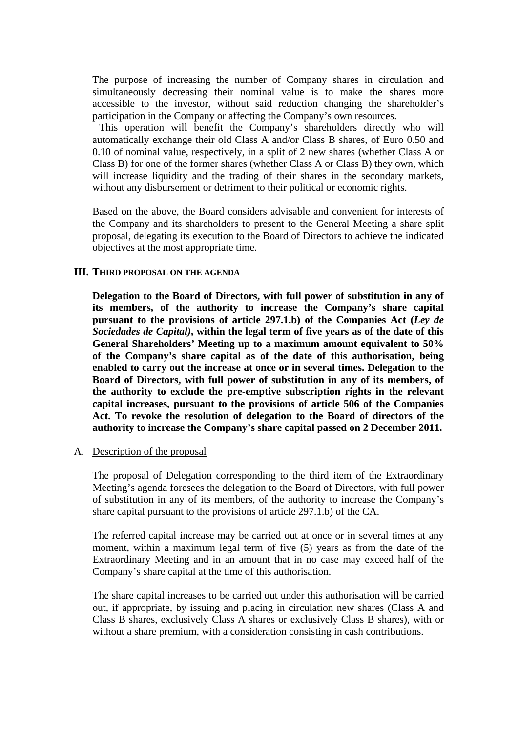The purpose of increasing the number of Company shares in circulation and simultaneously decreasing their nominal value is to make the shares more accessible to the investor, without said reduction changing the shareholder's participation in the Company or affecting the Company's own resources.

 This operation will benefit the Company's shareholders directly who will automatically exchange their old Class A and/or Class B shares, of Euro 0.50 and 0.10 of nominal value, respectively, in a split of 2 new shares (whether Class A or Class B) for one of the former shares (whether Class A or Class B) they own, which will increase liquidity and the trading of their shares in the secondary markets, without any disbursement or detriment to their political or economic rights.

Based on the above, the Board considers advisable and convenient for interests of the Company and its shareholders to present to the General Meeting a share split proposal, delegating its execution to the Board of Directors to achieve the indicated objectives at the most appropriate time.

### **III. THIRD PROPOSAL ON THE AGENDA**

**Delegation to the Board of Directors, with full power of substitution in any of its members, of the authority to increase the Company's share capital pursuant to the provisions of article 297.1.b) of the Companies Act (***Ley de Sociedades de Capital)***, within the legal term of five years as of the date of this General Shareholders' Meeting up to a maximum amount equivalent to 50% of the Company's share capital as of the date of this authorisation, being enabled to carry out the increase at once or in several times. Delegation to the Board of Directors, with full power of substitution in any of its members, of the authority to exclude the pre-emptive subscription rights in the relevant capital increases, pursuant to the provisions of article 506 of the Companies Act. To revoke the resolution of delegation to the Board of directors of the authority to increase the Company's share capital passed on 2 December 2011.** 

#### A. Description of the proposal

The proposal of Delegation corresponding to the third item of the Extraordinary Meeting's agenda foresees the delegation to the Board of Directors, with full power of substitution in any of its members, of the authority to increase the Company's share capital pursuant to the provisions of article 297.1.b) of the CA.

The referred capital increase may be carried out at once or in several times at any moment, within a maximum legal term of five (5) years as from the date of the Extraordinary Meeting and in an amount that in no case may exceed half of the Company's share capital at the time of this authorisation.

The share capital increases to be carried out under this authorisation will be carried out, if appropriate, by issuing and placing in circulation new shares (Class A and Class B shares, exclusively Class A shares or exclusively Class B shares), with or without a share premium, with a consideration consisting in cash contributions.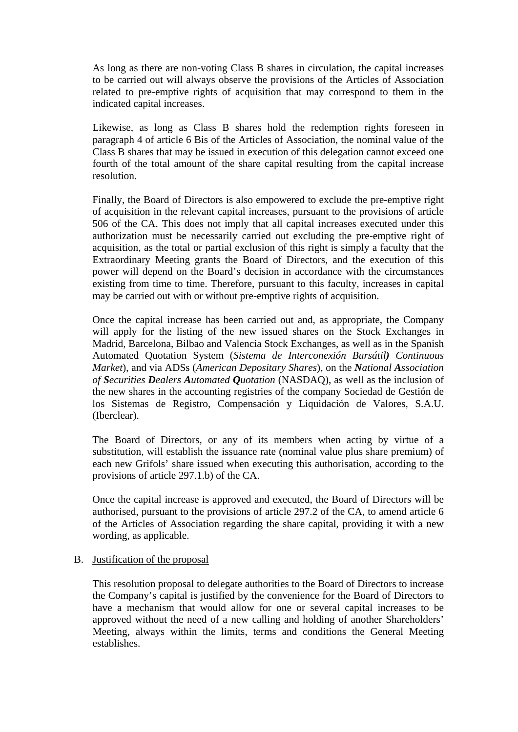As long as there are non-voting Class B shares in circulation, the capital increases to be carried out will always observe the provisions of the Articles of Association related to pre-emptive rights of acquisition that may correspond to them in the indicated capital increases.

Likewise, as long as Class B shares hold the redemption rights foreseen in paragraph 4 of article 6 Bis of the Articles of Association, the nominal value of the Class B shares that may be issued in execution of this delegation cannot exceed one fourth of the total amount of the share capital resulting from the capital increase resolution.

Finally, the Board of Directors is also empowered to exclude the pre-emptive right of acquisition in the relevant capital increases, pursuant to the provisions of article 506 of the CA. This does not imply that all capital increases executed under this authorization must be necessarily carried out excluding the pre-emptive right of acquisition, as the total or partial exclusion of this right is simply a faculty that the Extraordinary Meeting grants the Board of Directors, and the execution of this power will depend on the Board's decision in accordance with the circumstances existing from time to time. Therefore, pursuant to this faculty, increases in capital may be carried out with or without pre-emptive rights of acquisition.

Once the capital increase has been carried out and, as appropriate, the Company will apply for the listing of the new issued shares on the Stock Exchanges in Madrid, Barcelona, Bilbao and Valencia Stock Exchanges, as well as in the Spanish Automated Quotation System (*Sistema de Interconexión Bursátil) Continuous Market*), and via ADSs (*American Depositary Shares*), on the *National Association of Securities Dealers Automated Quotation* (NASDAQ), as well as the inclusion of the new shares in the accounting registries of the company Sociedad de Gestión de los Sistemas de Registro, Compensación y Liquidación de Valores, S.A.U. (Iberclear).

The Board of Directors, or any of its members when acting by virtue of a substitution, will establish the issuance rate (nominal value plus share premium) of each new Grifols' share issued when executing this authorisation, according to the provisions of article 297.1.b) of the CA.

Once the capital increase is approved and executed, the Board of Directors will be authorised, pursuant to the provisions of article 297.2 of the CA, to amend article 6 of the Articles of Association regarding the share capital, providing it with a new wording, as applicable.

### B. Justification of the proposal

This resolution proposal to delegate authorities to the Board of Directors to increase the Company's capital is justified by the convenience for the Board of Directors to have a mechanism that would allow for one or several capital increases to be approved without the need of a new calling and holding of another Shareholders' Meeting, always within the limits, terms and conditions the General Meeting establishes.